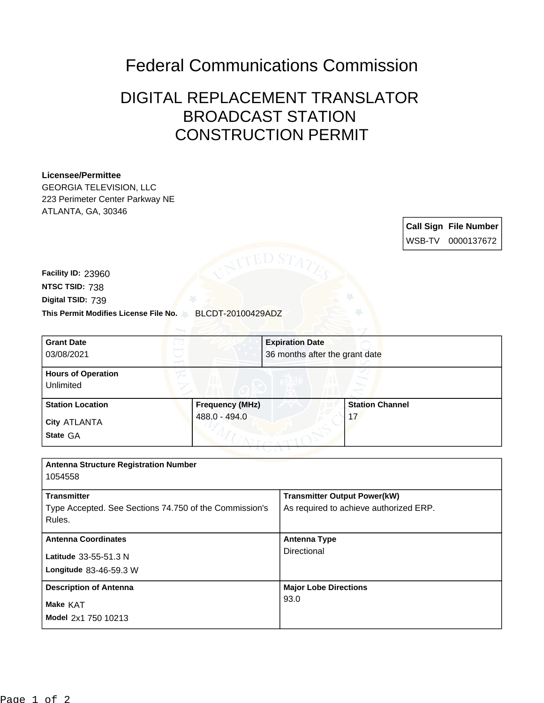## Federal Communications Commission

## DIGITAL REPLACEMENT TRANSLATOR BROADCAST STATION CONSTRUCTION PERMIT

## **Licensee/Permittee**

GEORGIA TELEVISION, LLC 223 Perimeter Center Parkway NE ATLANTA, GA, 30346

> **Call Sign File Number** WSB-TV 0000137672

**This Permit Modifies License File No.** BLCDT-20100429ADZ **Digital TSID:** 739 **NTSC TSID:** 738 **Facility ID:** 23960

| <b>Grant Date</b><br>03/08/2021        |                        | <b>Expiration Date</b><br>36 months after the grant date |  |
|----------------------------------------|------------------------|----------------------------------------------------------|--|
| <b>Hours of Operation</b><br>Unlimited |                        |                                                          |  |
| <b>Station Location</b>                | <b>Frequency (MHz)</b> | <b>Station Channel</b>                                   |  |
| City ATLANTA<br>State GA               | 488.0 - 494.0          | 17                                                       |  |

| <b>Antenna Structure Registration Number</b>                                           |                                                                               |  |  |  |
|----------------------------------------------------------------------------------------|-------------------------------------------------------------------------------|--|--|--|
| 1054558                                                                                |                                                                               |  |  |  |
| <b>Transmitter</b><br>Type Accepted. See Sections 74.750 of the Commission's<br>Rules. | <b>Transmitter Output Power(kW)</b><br>As required to achieve authorized ERP. |  |  |  |
| <b>Antenna Coordinates</b><br>Latitude 33-55-51.3 N<br>Longitude 83-46-59.3 W          | <b>Antenna Type</b><br>Directional                                            |  |  |  |
| <b>Description of Antenna</b><br>Make KAT<br>Model 2x1 750 10213                       | <b>Major Lobe Directions</b><br>93.0                                          |  |  |  |